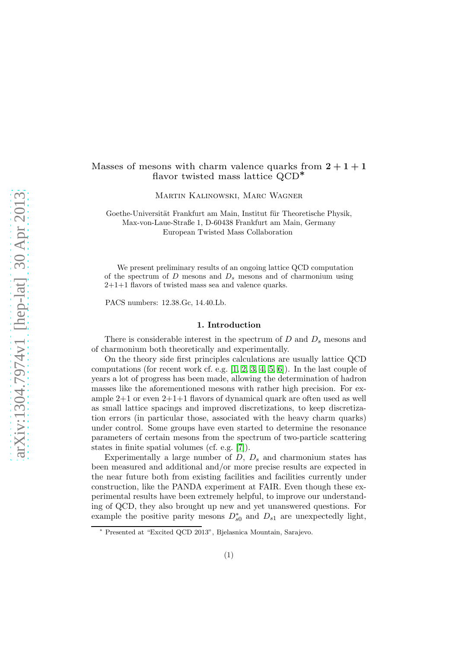# Masses of mesons with charm valence quarks from  $2 + 1 + 1$ flavor twisted mass lattice QCD<sup>∗</sup>

Martin Kalinowski, Marc Wagner

Goethe-Universität Frankfurt am Main, Institut für Theoretische Physik, Max-von-Laue-Straße 1, D-60438 Frankfurt am Main, Germany European Twisted Mass Collaboration

We present preliminary results of an ongoing lattice QCD computation of the spectrum of  $D$  mesons and  $D_s$  mesons and of charmonium using 2+1+1 flavors of twisted mass sea and valence quarks.

PACS numbers: 12.38.Gc, 14.40.Lb.

### 1. Introduction

There is considerable interest in the spectrum of  $D$  and  $D<sub>s</sub>$  mesons and of charmonium both theoretically and experimentally.

On the theory side first principles calculations are usually lattice QCD computations (for recent work cf. e.g. [\[1,](#page-4-0) [2,](#page-5-0) [3,](#page-5-1) [4,](#page-5-2) [5,](#page-5-3) [6\]](#page-5-4)). In the last couple of years a lot of progress has been made, allowing the determination of hadron masses like the aforementioned mesons with rather high precision. For example 2+1 or even 2+1+1 flavors of dynamical quark are often used as well as small lattice spacings and improved discretizations, to keep discretization errors (in particular those, associated with the heavy charm quarks) under control. Some groups have even started to determine the resonance parameters of certain mesons from the spectrum of two-particle scattering states in finite spatial volumes (cf. e.g. [\[7\]](#page-5-5)).

Experimentally a large number of  $D, D_s$  and charmonium states has been measured and additional and/or more precise results are expected in the near future both from existing facilities and facilities currently under construction, like the PANDA experiment at FAIR. Even though these experimental results have been extremely helpful, to improve our understanding of QCD, they also brought up new and yet unanswered questions. For example the positive parity mesons  $D_{s0}^*$  and  $D_{s1}$  are unexpectedly light,

<sup>∗</sup> Presented at "Excited QCD 2013", Bjelasnica Mountain, Sarajevo.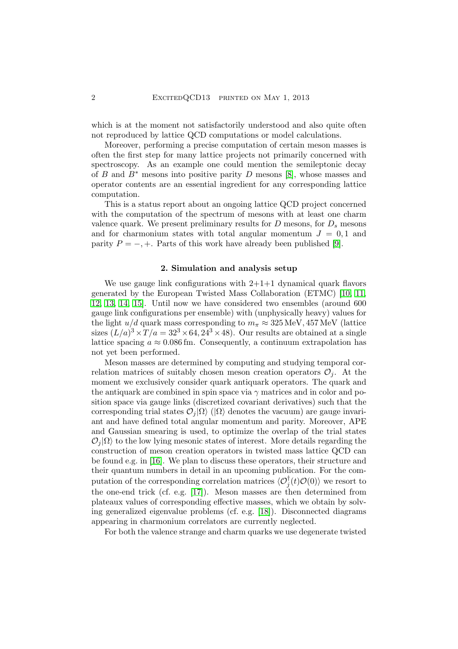which is at the moment not satisfactorily understood and also quite often not reproduced by lattice QCD computations or model calculations.

Moreover, performing a precise computation of certain meson masses is often the first step for many lattice projects not primarily concerned with spectroscopy. As an example one could mention the semileptonic decay of B and  $B^*$  mesons into positive parity D mesons [\[8\]](#page-5-6), whose masses and operator contents are an essential ingredient for any corresponding lattice computation.

This is a status report about an ongoing lattice QCD project concerned with the computation of the spectrum of mesons with at least one charm valence quark. We present preliminary results for  $D$  mesons, for  $D<sub>s</sub>$  mesons and for charmonium states with total angular momentum  $J = 0, 1$  and parity  $P = -, +$ . Parts of this work have already been published [\[9\]](#page-5-7).

# 2. Simulation and analysis setup

We use gauge link configurations with  $2+1+1$  dynamical quark flavors generated by the European Twisted Mass Collaboration (ETMC) [\[10,](#page-5-8) [11,](#page-5-9) [12,](#page-5-10) [13,](#page-5-11) [14,](#page-5-12) [15\]](#page-5-13). Until now we have considered two ensembles (around 600 gauge link configurations per ensemble) with (unphysically heavy) values for the light  $u/d$  quark mass corresponding to  $m_{\pi} \approx 325 \,\text{MeV}$ , 457 MeV (lattice sizes  $(L/a)^3 \times T/a = 32^3 \times 64, 24^3 \times 48)$ . Our results are obtained at a single lattice spacing  $a \approx 0.086$  fm. Consequently, a continuum extrapolation has not yet been performed.

Meson masses are determined by computing and studying temporal correlation matrices of suitably chosen meson creation operators  $\mathcal{O}_i$ . At the moment we exclusively consider quark antiquark operators. The quark and the antiquark are combined in spin space via  $\gamma$  matrices and in color and position space via gauge links (discretized covariant derivatives) such that the corresponding trial states  $\mathcal{O}_i|\Omega\rangle$  ( $|\Omega\rangle$  denotes the vacuum) are gauge invariant and have defined total angular momentum and parity. Moreover, APE and Gaussian smearing is used, to optimize the overlap of the trial states  $\mathcal{O}_i|\Omega\rangle$  to the low lying mesonic states of interest. More details regarding the construction of meson creation operators in twisted mass lattice QCD can be found e.g. in [\[16\]](#page-5-14). We plan to discuss these operators, their structure and their quantum numbers in detail in an upcoming publication. For the computation of the corresponding correlation matrices  $\langle \mathcal{O}_j^{\dagger}(t) \mathcal{O}(0) \rangle$  we resort to the one-end trick (cf. e.g. [\[17\]](#page-5-15)). Meson masses are then determined from plateaux values of corresponding effective masses, which we obtain by solving generalized eigenvalue problems (cf. e.g. [\[18\]](#page-5-16)). Disconnected diagrams appearing in charmonium correlators are currently neglected.

For both the valence strange and charm quarks we use degenerate twisted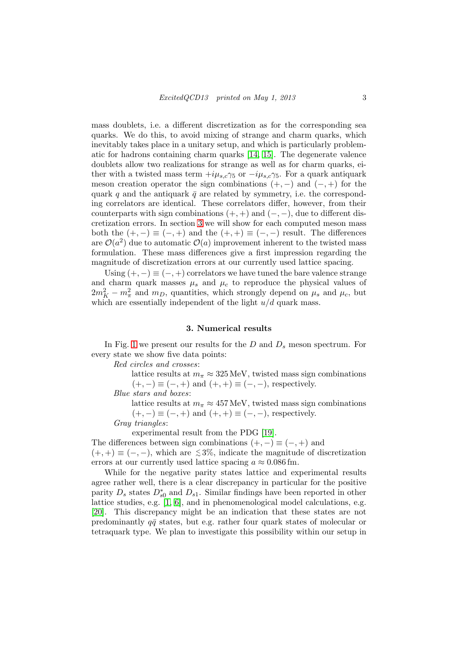mass doublets, i.e. a different discretization as for the corresponding sea quarks. We do this, to avoid mixing of strange and charm quarks, which inevitably takes place in a unitary setup, and which is particularly problematic for hadrons containing charm quarks [\[14,](#page-5-12) [15\]](#page-5-13). The degenerate valence doublets allow two realizations for strange as well as for charm quarks, either with a twisted mass term  $+i\mu_{s,c}\gamma_5$  or  $-i\mu_{s,c}\gamma_5$ . For a quark antiquark meson creation operator the sign combinations  $(+, -)$  and  $(-, +)$  for the quark q and the antiquark  $\bar{q}$  are related by symmetry, i.e. the corresponding correlators are identical. These correlators differ, however, from their counterparts with sign combinations  $(+, +)$  and  $(-, -)$ , due to different discretization errors. In section [3](#page-2-0) we will show for each computed meson mass both the  $(+, -) \equiv (-, +)$  and the  $(+, +) \equiv (-, -)$  result. The differences are  $\mathcal{O}(a^2)$  due to automatic  $\mathcal{O}(a)$  improvement inherent to the twisted mass formulation. These mass differences give a first impression regarding the magnitude of discretization errors at our currently used lattice spacing.

Using  $(+, -) \equiv (-, +)$  correlators we have tuned the bare valence strange and charm quark masses  $\mu_s$  and  $\mu_c$  to reproduce the physical values of  $2m_K^2 - m_\pi^2$  and  $m_D$ , quantities, which strongly depend on  $\mu_s$  and  $\mu_c$ , but which are essentially independent of the light  $u/d$  quark mass.

#### 3. Numerical results

<span id="page-2-0"></span>In Fig. [1](#page-3-0) we present our results for the  $D$  and  $D_s$  meson spectrum. For every state we show five data points:

Red circles and crosses:

lattice results at  $m_{\pi} \approx 325 \text{ MeV}$ , twisted mass sign combinations  $(+, -) \equiv (-, +)$  and  $(+, +) \equiv (-, -)$ , respectively.

Blue stars and boxes:

lattice results at  $m_{\pi} \approx 457 \text{ MeV}$ , twisted mass sign combinations  $(+,-) \equiv (-,+)$  and  $(+,+) \equiv (-,-)$ , respectively.

Gray triangles:

experimental result from the PDG [\[19\]](#page-5-17).

The differences between sign combinations  $(+, -) \equiv (-, +)$  and

 $(+, +) \equiv (-, -)$ , which are  $\leq 3\%$ , indicate the magnitude of discretization errors at our currently used lattice spacing  $a \approx 0.086$  fm.

While for the negative parity states lattice and experimental results agree rather well, there is a clear discrepancy in particular for the positive parity  $D_s$  states  $D_{s0}^*$  and  $D_{s1}$ . Similar findings have been reported in other lattice studies, e.g. [\[1,](#page-4-0) [6\]](#page-5-4), and in phenomenological model calculations, e.g. [\[20\]](#page-5-18). This discrepancy might be an indication that these states are not predominantly  $q\bar{q}$  states, but e.g. rather four quark states of molecular or tetraquark type. We plan to investigate this possibility within our setup in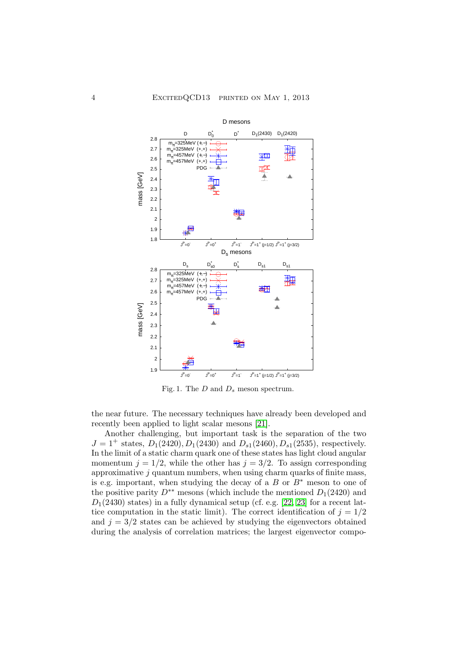

<span id="page-3-0"></span>Fig. 1. The  $D$  and  $D_s$  meson spectrum.

the near future. The necessary techniques have already been developed and recently been applied to light scalar mesons [\[21\]](#page-5-19).

Another challenging, but important task is the separation of the two  $J = 1^+$  states,  $D_1(2420), D_1(2430)$  and  $D_{s1}(2460), D_{s1}(2535)$ , respectively. In the limit of a static charm quark one of these states has light cloud angular momentum  $j = 1/2$ , while the other has  $j = 3/2$ . To assign corresponding approximative  $j$  quantum numbers, when using charm quarks of finite mass, is e.g. important, when studying the decay of a  $B$  or  $B^*$  meson to one of the positive parity  $D^{**}$  mesons (which include the mentioned  $D_1(2420)$  and  $D_1(2430)$  states) in a fully dynamical setup (cf. e.g. [\[22,](#page-5-20) [23\]](#page-5-21) for a recent lattice computation in the static limit). The correct identification of  $j = 1/2$ and  $j = 3/2$  states can be achieved by studying the eigenvectors obtained during the analysis of correlation matrices; the largest eigenvector compo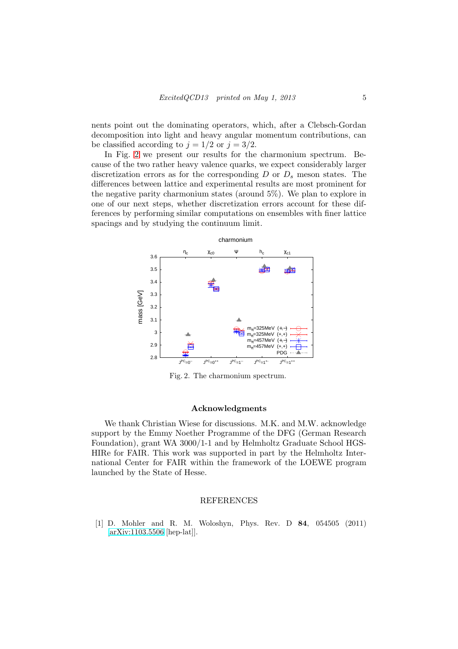nents point out the dominating operators, which, after a Clebsch-Gordan decomposition into light and heavy angular momentum contributions, can be classified according to  $j = 1/2$  or  $j = 3/2$ .

In Fig. [2](#page-4-1) we present our results for the charmonium spectrum. Because of the two rather heavy valence quarks, we expect considerably larger discretization errors as for the corresponding  $D$  or  $D_s$  meson states. The differences between lattice and experimental results are most prominent for the negative parity charmonium states (around 5%). We plan to explore in one of our next steps, whether discretization errors account for these differences by performing similar computations on ensembles with finer lattice spacings and by studying the continuum limit.



<span id="page-4-1"></span>Fig. 2. The charmonium spectrum.

# Acknowledgments

We thank Christian Wiese for discussions. M.K. and M.W. acknowledge support by the Emmy Noether Programme of the DFG (German Research Foundation), grant WA 3000/1-1 and by Helmholtz Graduate School HGS-HIRe for FAIR. This work was supported in part by the Helmholtz International Center for FAIR within the framework of the LOEWE program launched by the State of Hesse.

# REFERENCES

<span id="page-4-0"></span>[1] D. Mohler and R. M. Woloshyn, Phys. Rev. D 84, 054505 (2011) [\[arXiv:1103.5506](http://arxiv.org/abs/1103.5506) [hep-lat]].